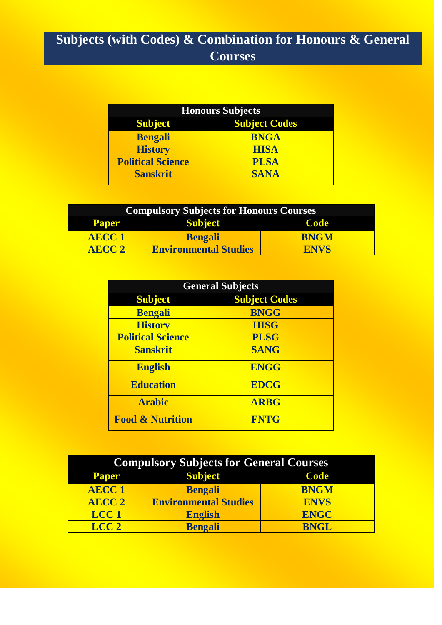# **Subjects (with Codes) & Combination for Honours & General Courses**

| <b>Honours Subjects</b>                |             |  |  |  |
|----------------------------------------|-------------|--|--|--|
| <b>Subject Codes</b><br><b>Subject</b> |             |  |  |  |
| <b>Bengali</b>                         | <b>BNGA</b> |  |  |  |
| <b>History</b>                         | <b>HISA</b> |  |  |  |
| <b>Political Science</b>               | <b>PLSA</b> |  |  |  |
| <b>Sanskrit</b>                        | <b>SANA</b> |  |  |  |

| <b>Compulsory Subjects for Honours Courses</b> |                              |             |  |  |  |  |
|------------------------------------------------|------------------------------|-------------|--|--|--|--|
| <b>Paper</b>                                   | <b>Subject</b><br>Code       |             |  |  |  |  |
| <b>AECC1</b>                                   | <b>Bengali</b>               | <b>BNGM</b> |  |  |  |  |
| AECC 2                                         | <b>Environmental Studies</b> | <b>ENVS</b> |  |  |  |  |

| <b>General Subjects</b>     |                      |  |  |  |
|-----------------------------|----------------------|--|--|--|
| <b>Subject</b>              | <b>Subject Codes</b> |  |  |  |
| <b>Bengali</b>              | <b>BNGG</b>          |  |  |  |
| <b>History</b>              | <b>HISG</b>          |  |  |  |
| <b>Political Science</b>    | <b>PLSG</b>          |  |  |  |
| <b>Sanskrit</b>             | <b>SANG</b>          |  |  |  |
| <b>English</b>              | <b>ENGG</b>          |  |  |  |
| <b>Education</b>            | <b>EDCG</b>          |  |  |  |
| <b>Arabic</b>               | <b>ARBG</b>          |  |  |  |
| <b>Food &amp; Nutrition</b> | <b>FNTG</b>          |  |  |  |

| <b>Compulsory Subjects for General Courses</b> |                               |             |  |  |  |  |  |
|------------------------------------------------|-------------------------------|-------------|--|--|--|--|--|
| <b>Paper</b>                                   | <b>Subject</b><br><b>Code</b> |             |  |  |  |  |  |
| <b>AECC1</b>                                   | <b>Bengali</b>                | <b>BNGM</b> |  |  |  |  |  |
| <b>AECC 2</b>                                  | <b>Environmental Studies</b>  | <b>ENVS</b> |  |  |  |  |  |
| LCC <sub>1</sub>                               | <b>English</b>                | <b>ENGC</b> |  |  |  |  |  |
| LCC <sub>2</sub>                               | <b>Bengali</b>                | <b>BNGL</b> |  |  |  |  |  |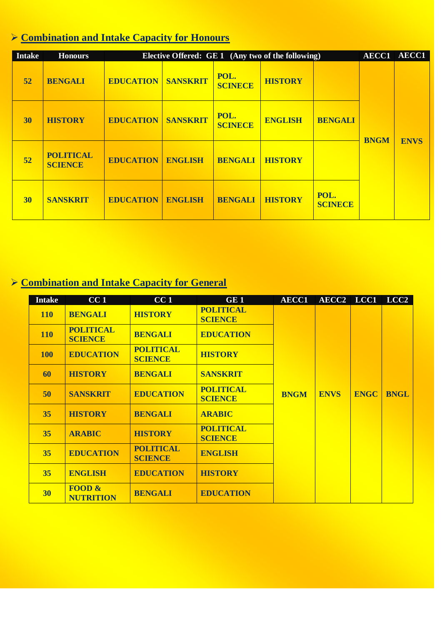## **Combination and Intake Capacity for Honours**

| <b>Intake</b> | <b>Honours</b>                     |                  |                 |                        | Elective Offered: GE 1 (Any two of the following) |                        | AECC1       | <b>AECC1</b> |
|---------------|------------------------------------|------------------|-----------------|------------------------|---------------------------------------------------|------------------------|-------------|--------------|
| 52            | <b>BENGALI</b>                     | <b>EDUCATION</b> | <b>SANSKRIT</b> | POL.<br><b>SCINECE</b> | <b>HISTORY</b>                                    |                        |             |              |
| 30            | <b>HISTORY</b>                     | <b>EDUCATION</b> | <b>SANSKRIT</b> | POL.<br><b>SCINECE</b> | <b>ENGLISH</b>                                    | <b>BENGALI</b>         | <b>BNGM</b> |              |
| 52            | <b>POLITICAL</b><br><b>SCIENCE</b> | <b>EDUCATION</b> | <b>ENGLISH</b>  | <b>BENGALI</b>         | <b>HISTORY</b>                                    |                        |             | <b>ENVS</b>  |
| 30            | <b>SANSKRIT</b>                    | <b>EDUCATION</b> | <b>ENGLISH</b>  | <b>BENGALI</b>         | <b>HISTORY</b>                                    | POL.<br><b>SCINECE</b> |             |              |

## **Combination and Intake Capacity for General**

| <b>Intake</b> | CC <sub>1</sub>                    | CC <sub>1</sub>                    | GE <sub>1</sub>                    | <b>AECC1</b> | AECC2 LCC1  |             | LCC <sub>2</sub> |
|---------------|------------------------------------|------------------------------------|------------------------------------|--------------|-------------|-------------|------------------|
| <b>110</b>    | <b>BENGALI</b>                     | <b>HISTORY</b>                     | <b>POLITICAL</b><br><b>SCIENCE</b> |              |             |             |                  |
| <b>110</b>    | <b>POLITICAL</b><br><b>SCIENCE</b> | <b>BENGALI</b>                     | <b>EDUCATION</b>                   |              |             |             |                  |
| <b>100</b>    | <b>EDUCATION</b>                   | <b>POLITICAL</b><br><b>SCIENCE</b> | <b>HISTORY</b>                     |              |             |             |                  |
| 60            | <b>HISTORY</b>                     | <b>BENGALI</b>                     | <b>SANSKRIT</b>                    |              |             |             |                  |
| 50            | <b>SANSKRIT</b>                    | <b>EDUCATION</b>                   | <b>POLITICAL</b><br><b>SCIENCE</b> | <b>BNGM</b>  | <b>ENVS</b> | <b>ENGC</b> | <b>BNGL</b>      |
| 35            | <b>HISTORY</b>                     | <b>BENGALI</b>                     | <b>ARABIC</b>                      |              |             |             |                  |
| 35            | <b>ARABIC</b>                      | <b>HISTORY</b>                     | <b>POLITICAL</b><br><b>SCIENCE</b> |              |             |             |                  |
| 35            | <b>EDUCATION</b>                   | <b>POLITICAL</b><br><b>SCIENCE</b> | <b>ENGLISH</b>                     |              |             |             |                  |
| 35            | <b>ENGLISH</b>                     | <b>EDUCATION</b>                   | <b>HISTORY</b>                     |              |             |             |                  |
| <b>30</b>     | FOOD $\&$<br><b>NUTRITION</b>      | <b>BENGALI</b>                     | <b>EDUCATION</b>                   |              |             |             |                  |